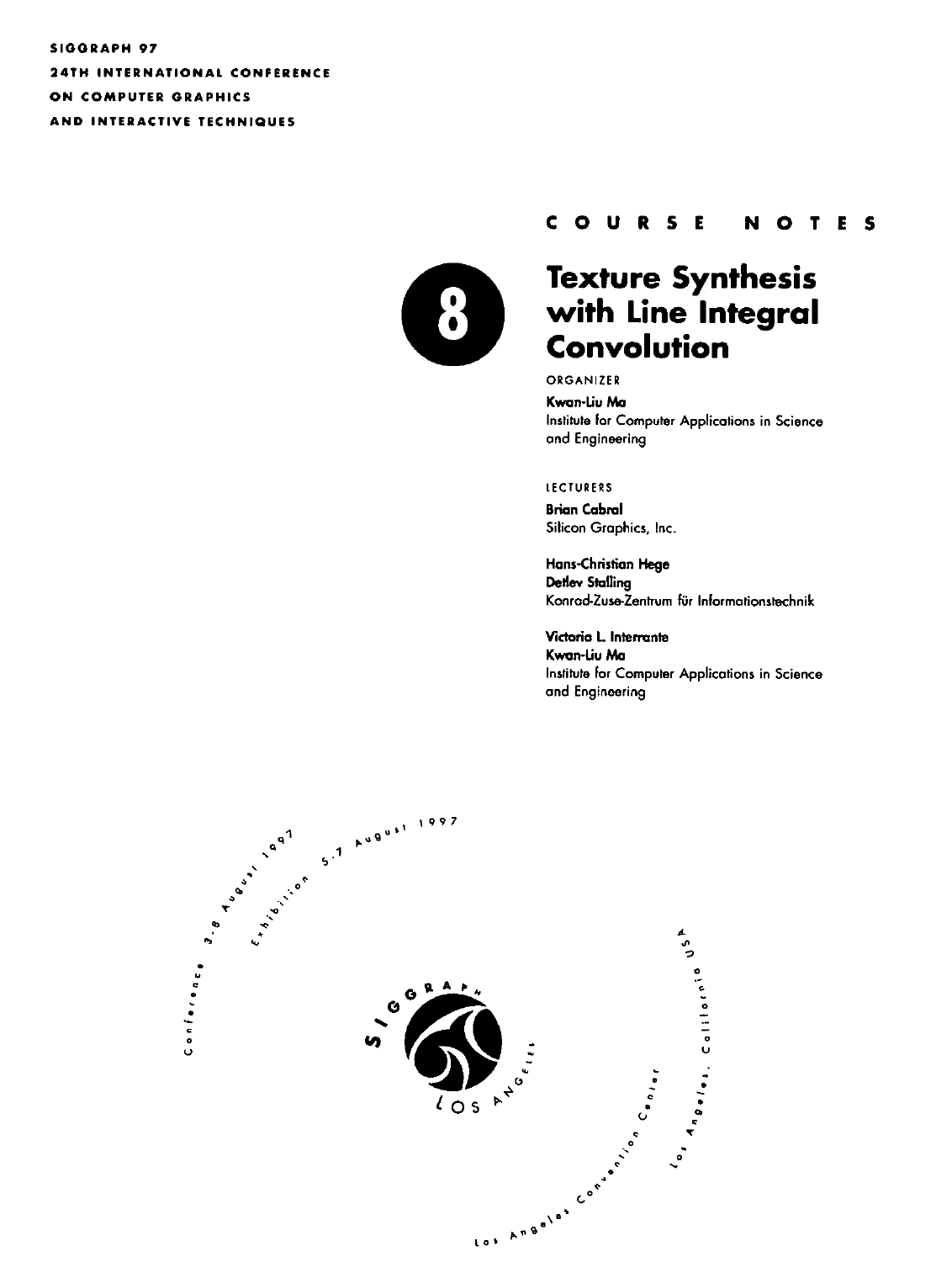SIGGRAPH 97 **24TH INTERNATIONAL CONFERENCE** ON COMPUTER GRAPHICS AND INTERACTIVE TECHNIQUES



#### COURSE NOTES

# **Texture Synthesis** with Line Integral **Convolution**

ORGANIZER

Kwan-Liu Ma Institute for Computer Applications in Science and Engineering

#### **LECTURERS**

**Brian Cabral** Silicon Graphics, Inc.

Hans-Christian Hege **Detlev Stalling** Konrad-Zuse-Zentrum für Informationstechnik

Victoria L. Interrante Kwan-Liu Ma Institute for Computer Applications in Science and Engineering

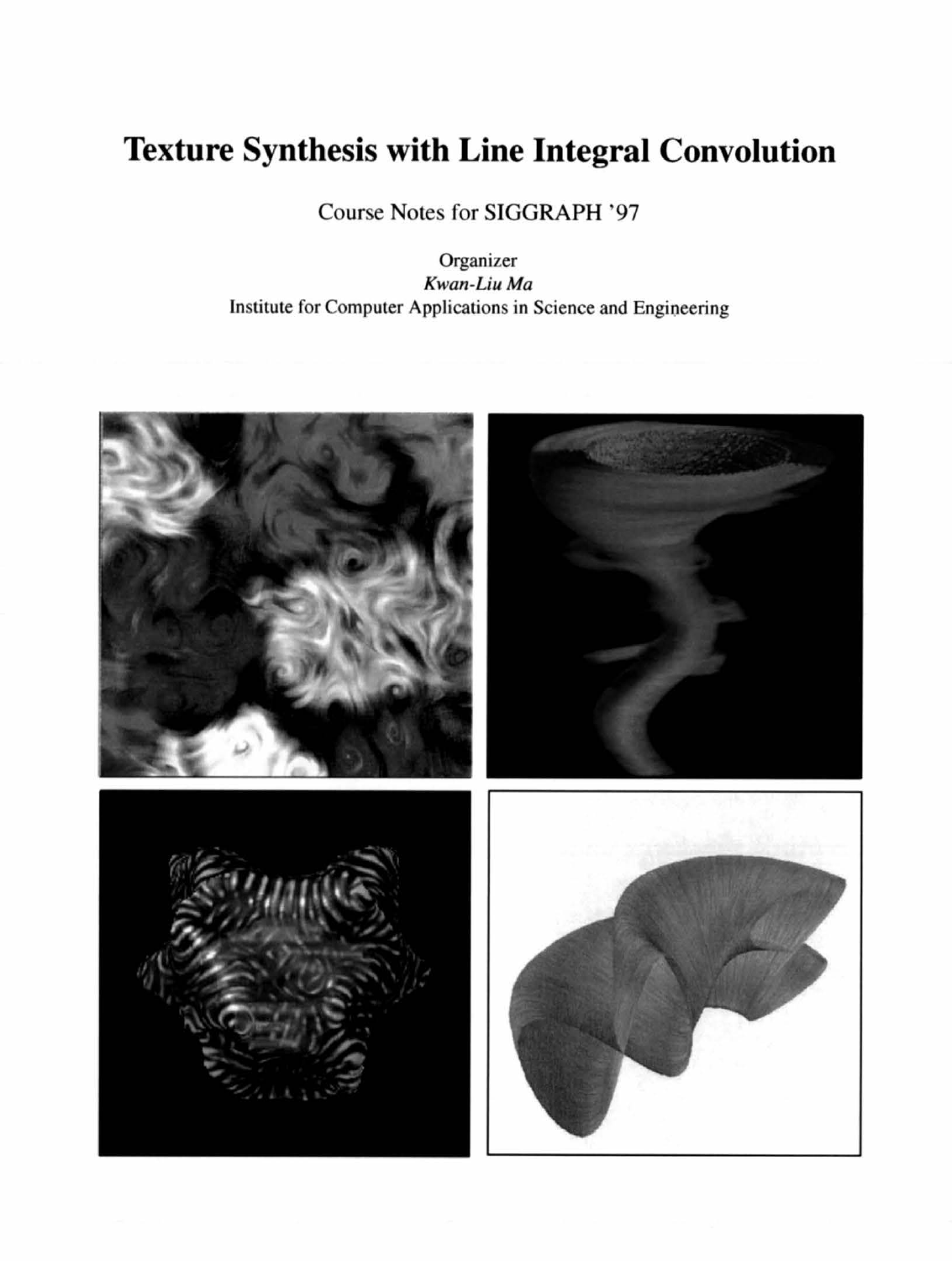# **Texture Synthesis with Line Integral Convolution**

Course Notes for SIGGRAPH '97

Organizer Kwan-Liu Ma Institute for Computer Applications in Science and Engineering

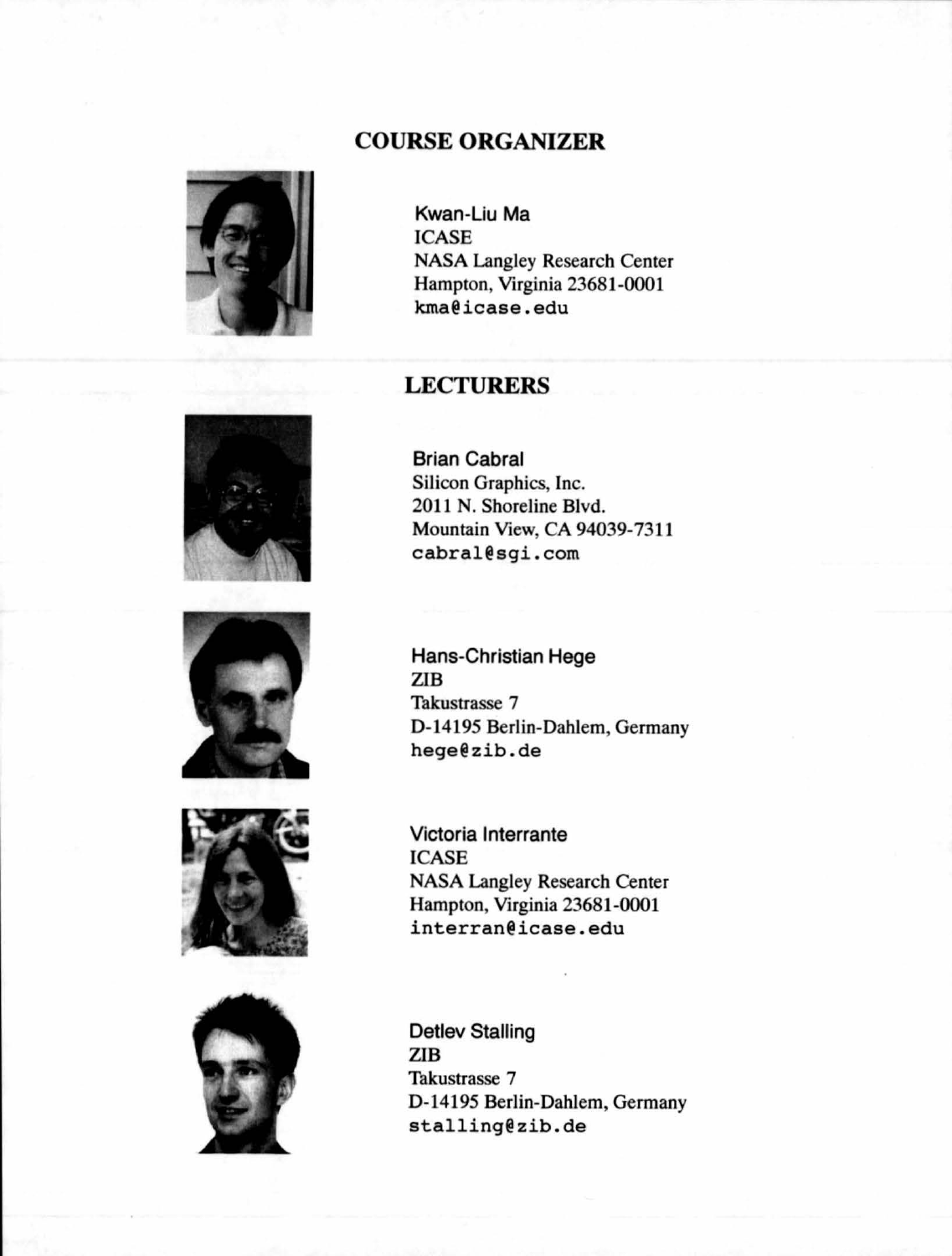#### COURSE ORGANIZER



Kwan-Liu Ma **ICASE** NASA Langley Research Center Hampton, Virginja 23681-0001 kma@icase.edu

#### **LECTURERS**







Brian Cabral Silicon Graphics, Inc. 2011 N. Shoreline Blvd. Mountajn View, CA 94039-7311 cabral@sgi.com

Hans-Christian Hege ZIB Takustrasse 7 D-14195 Berlin-Dahlem, Germany hege@zib.de

Victoria Interrante **ICASE** NASA Langley Research Center Hampton, Virginia 23681-0001 interran@icase.edu

Detlev Stalling ZIB Takustrasse 7 D-14195 Bertin-Dahlem, Germany stalling@zib.de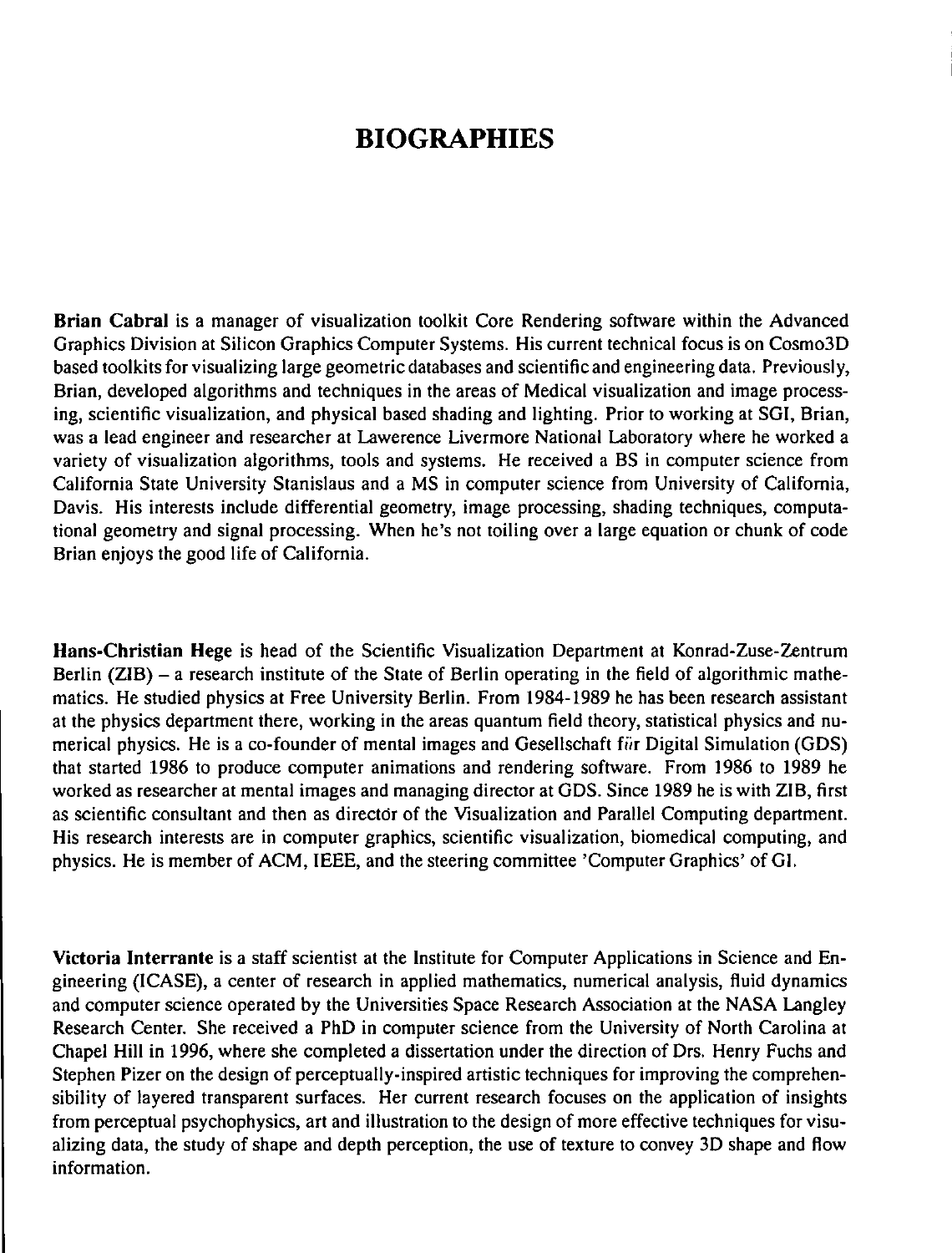## **BIOGRAPHIES**

Brian Cabral is a manager of visualization toolkit Core Rendering software within the Advanced Graphics Division at Silicon Graphics Computer Systems. His current technical focus is on Cosmo3D based toolkits for visualizing large geometric databases and scientific and engineering data. Previously, Brian, developed algorithms and techniques in the areas of Medical visualization and image processing, scientific visualization, and physical based shading and lighting. Prior to working at SGI, Brian, was a lead engineer and researcher at Lawerence Livermore National Laboratory where he worked a variety of visualization algorithms, tools and systems. He received a BS in computer science from California State University Stanislaus and a MS in computer science from University of California, Davis. His interests include differential geometry, image processing, shading techniques, computational geometry and signal processing. When he's not toiling over a large equation or chunk of code Brian enjoys the good life of California.

Hans-Christian Hege is head of the Scientific Visualization Department at Konrad-Zuse-Zentrum Berlin (ZIB) - a research institute of the State of Berlin operating in the field of algorithmic mathematics. He studied physics at Free University Berlin. From 1984-1989 he has been research assistant at the physics department there, working in the areas quantum field theory, statistical physics and numerical physics. He is a co-founder of mental images and Gesellschaft fiir Digital Simulation (ODS) that started 1986 to produce computer animations and rendering software. From 1986 to 1989 he worked as researcher at mental images and managing director at GDS. Since 1989 he is with ZIB, first as scientific consultant and then as director of the Visualization and Parallel Computing department. His research interests are in computer graphics, scientific visualization, biomedical computing, and physics. He is member of ACM, IEEE, and the steering committee 'Computer Graphics' of 01.

Victoria Interrante is a staff scientist at the Institute for Computer Applications in Science and Engineering (ICASE), a center of research in applied mathematics, numerical analysis, fluid dynamics and computer science operated by the Universities Space Research Association at the NASA Langley Research Center. She received a PhD in computer science from the University of North Carolina at Chapel Hill in 1996, where she completed a dissertation under the direction of Drs. Henry Fuchs and Stephen Pizer on the design of perceptually-inspired artistic techniques for improving the comprehensibility of layered transparent surfaces. Her current research focuses on the application of insights from perceptual psychophysics, art and illustration to the design of more effective techniques for visualizing data, the study of shape and depth perception, the use of texture to convey 3D shape and flow information.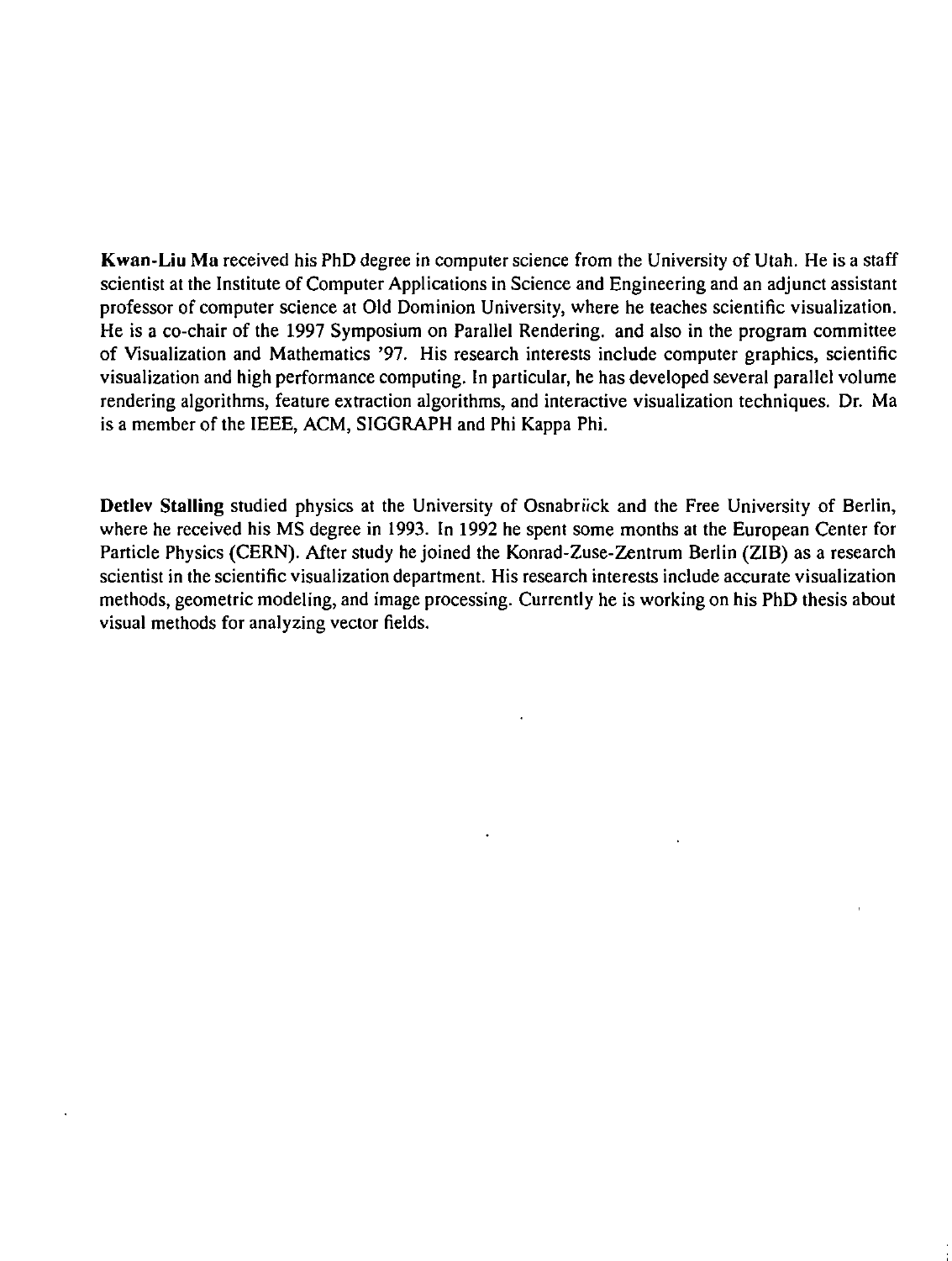**Kwan-Liu** Ma received his PhD degree in computer science from the University of Utah. He is a staff scientist at the Institute of Computer Applications in Science and Engineering and an adjunct assistant professor of computer science at Old Dominion University, where he teaches scientific visualization. He is a co-chair of the 1997 Symposium on Parallel Rendering. and also in the program committee of Visualization and Mathematics '97. His research interests include computer graphics, scientific visualization and high performance computing. In particular, he has developed several parallel volume rendering algorithms, feature extraction algorithms, and interactive visualization techniques. Dr. Ma is a member of the IEEE, ACM, SIGGRAPH and Phi Kappa Phi.

**Detiev Stalling** studied physics at the University of Osnabriick and the Free University of Berlin, where he received his MS degree in 1993. In 1992 he spent some months at the European Center for Particle Physics (CERN). After study he joined the Konrad-Zuse-Zentrum Berlin (ZIB) as a research scientist in the scientific visualization department. His research interests include accurate visualization methods, geometric modeling, and image processing. Currently he is working on his PhD thesis about visual methods for analyzing vector fields.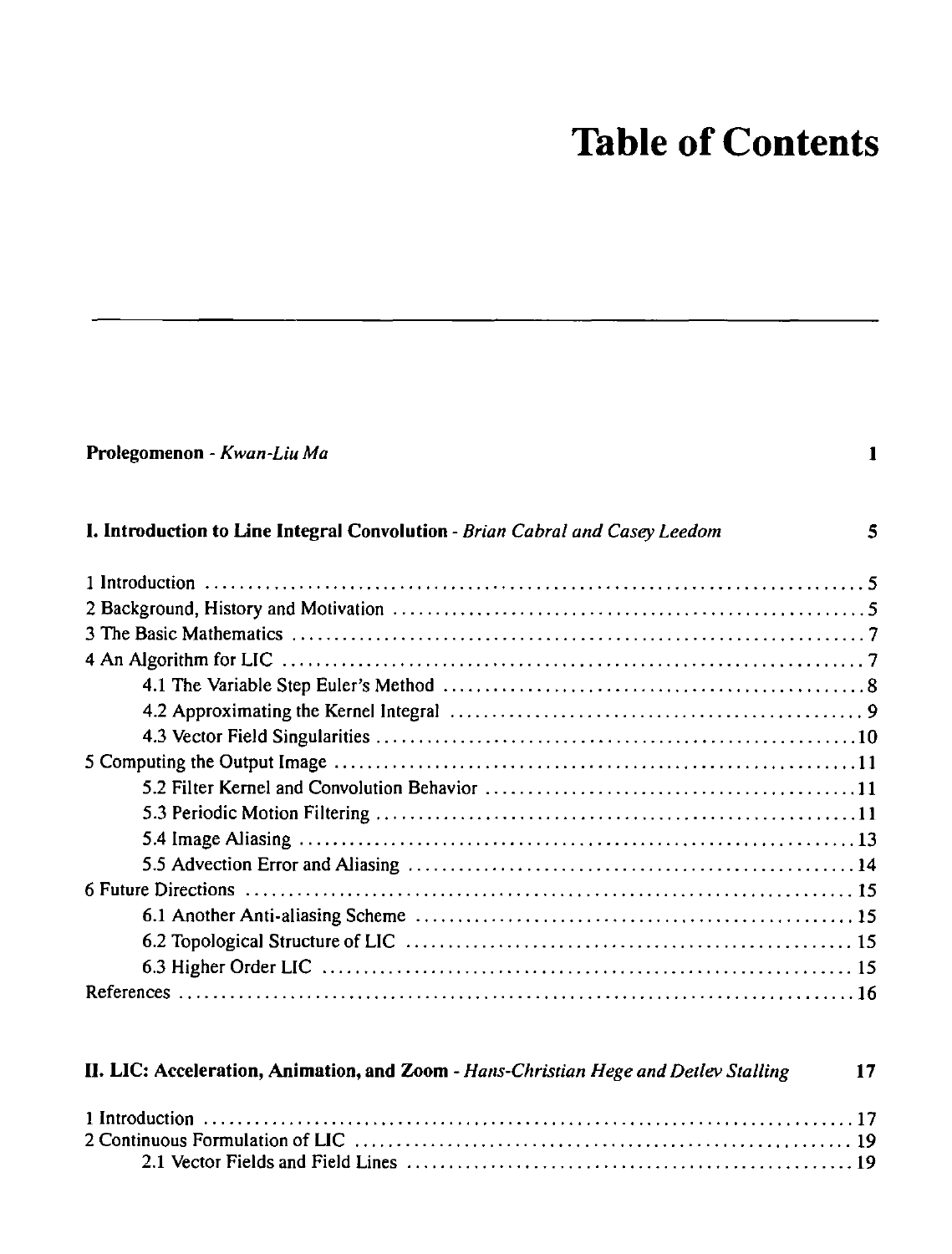# **Table of Contents**

| Prolegomenon - Kwan-Liu Ma                                                           | 1            |
|--------------------------------------------------------------------------------------|--------------|
| I. Introduction to Line Integral Convolution - Brian Cabral and Casey Leedom         | $\mathbf{s}$ |
|                                                                                      |              |
|                                                                                      |              |
|                                                                                      |              |
|                                                                                      |              |
|                                                                                      |              |
|                                                                                      |              |
|                                                                                      |              |
|                                                                                      |              |
|                                                                                      |              |
|                                                                                      |              |
|                                                                                      |              |
|                                                                                      |              |
|                                                                                      |              |
|                                                                                      |              |
|                                                                                      |              |
|                                                                                      |              |
|                                                                                      |              |
| II. LIC: Acceleration, Animation, and Zoom - Hans-Christian Hege and Detlev Stalling | 17           |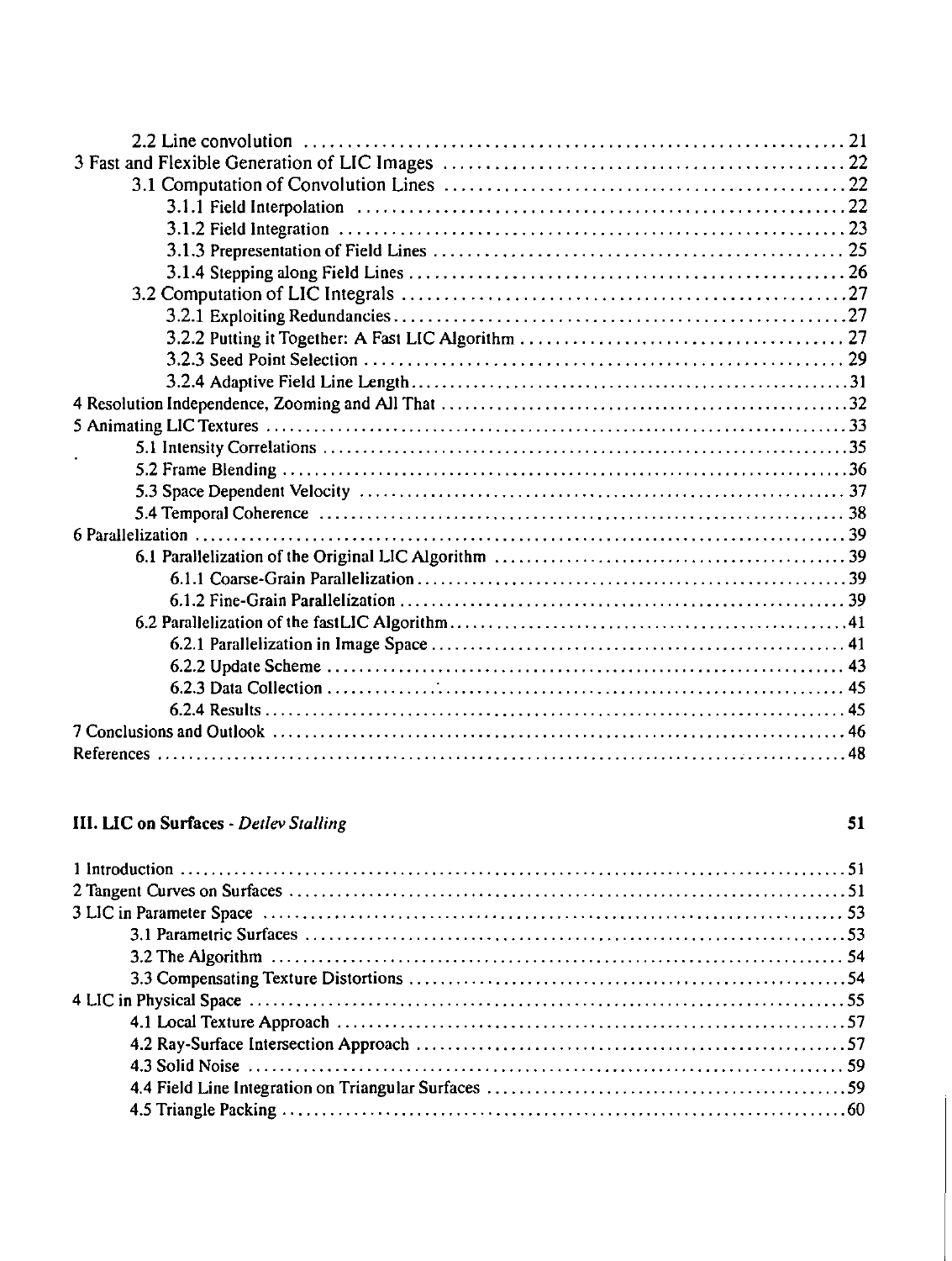#### **III. LIC on Surfaces - Detlev Stalling**

#### $51$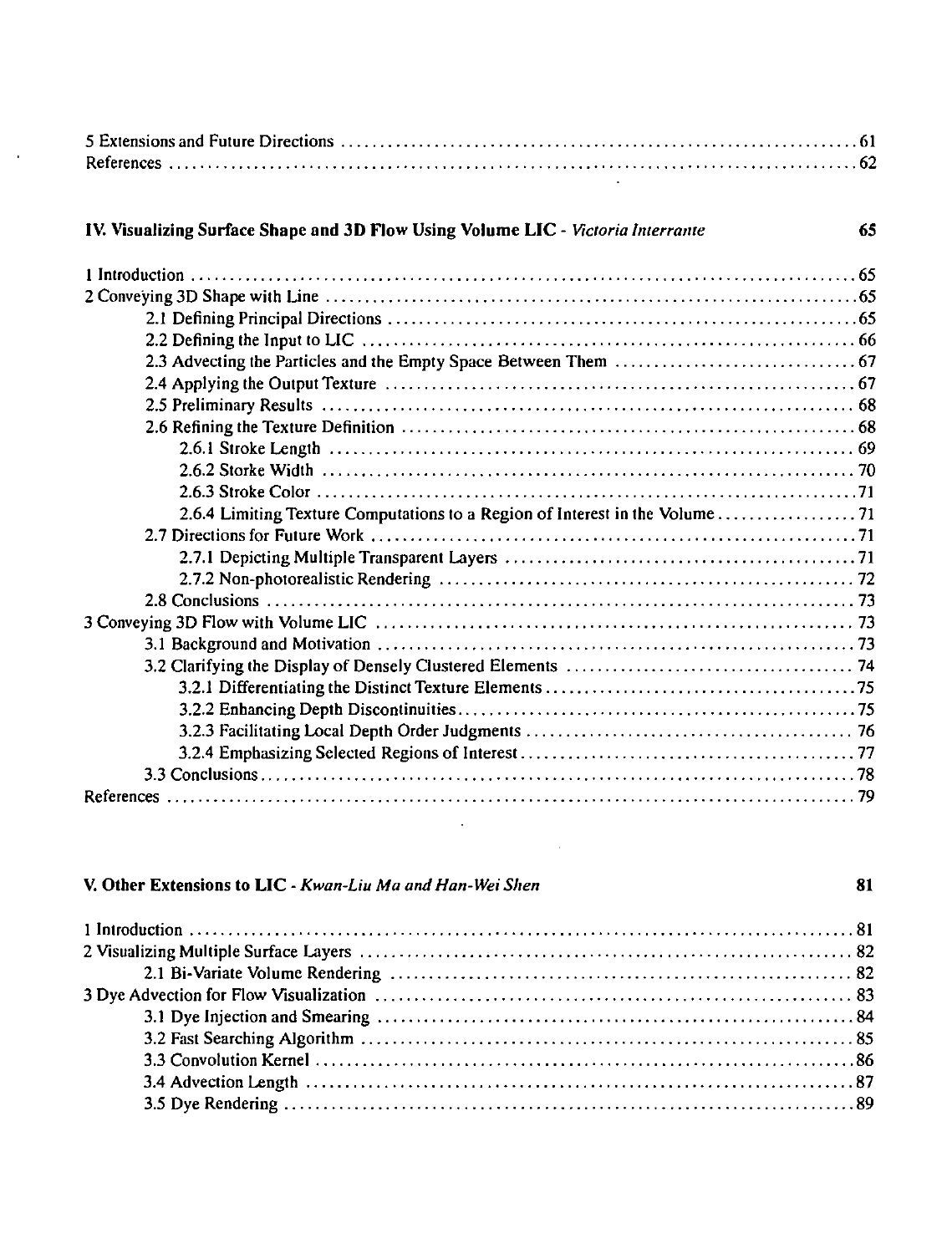#### IV. Visualizing Surface Shape and 3D Flow Using Volume LIC - *Victoria Interrante*

 $\mathcal{A}$ 

| ۰.            |
|---------------|
|               |
| ۰.<br>۰.<br>٠ |

#### V. Other Extensions to LIC- *Kwan-Liu Ma and Han-Wei Shen* 81

 $\Delta \sim 10^4$ 

 $\sim$   $\sim$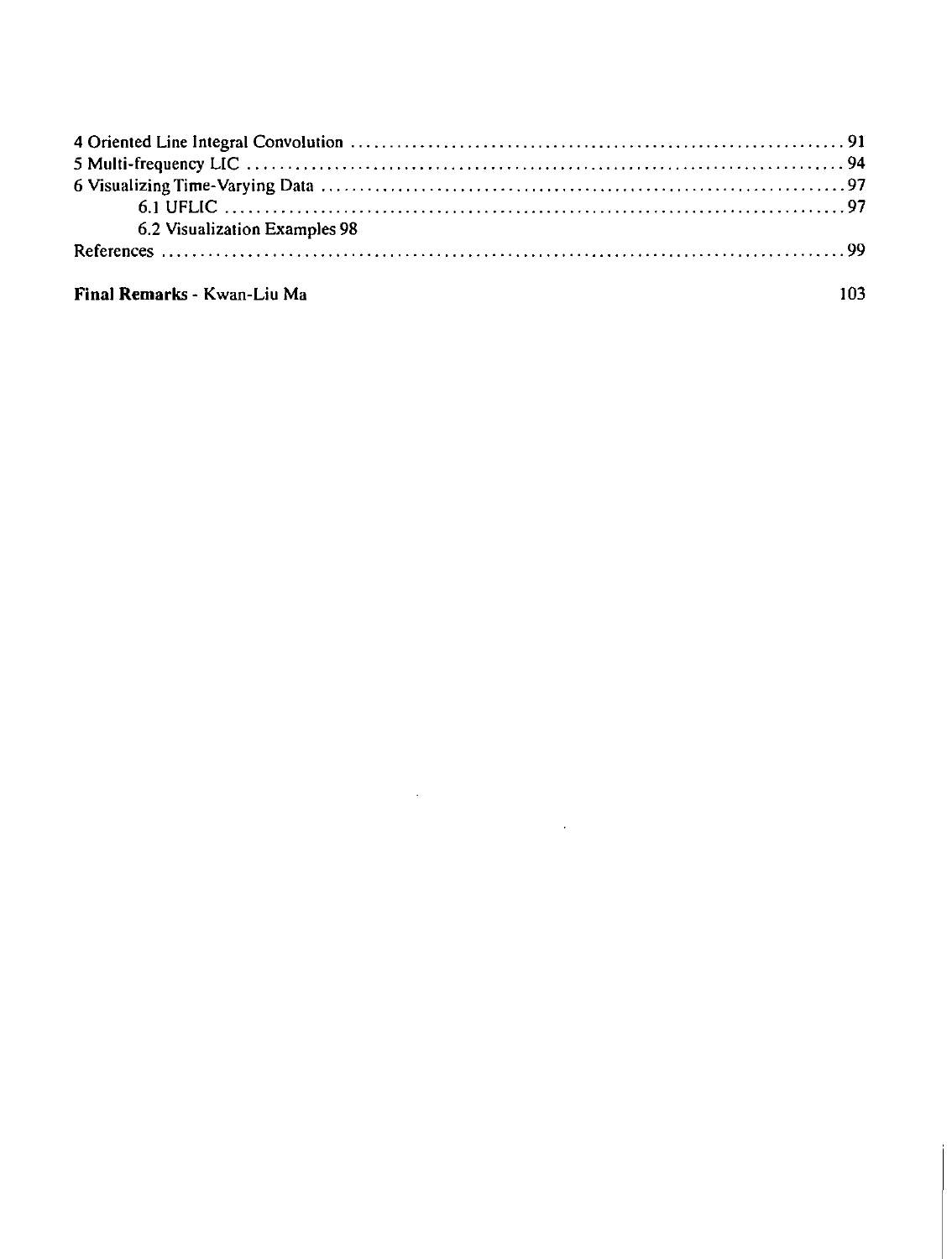| 6.2 Visualization Examples 98 |  |
|-------------------------------|--|
|                               |  |
|                               |  |

 $\sim 10^{11}$  km s  $^{-1}$ 

 $\sim 100$  km s  $^{-1}$ 

103

#### Final Remarks - Kwan-Liu Ma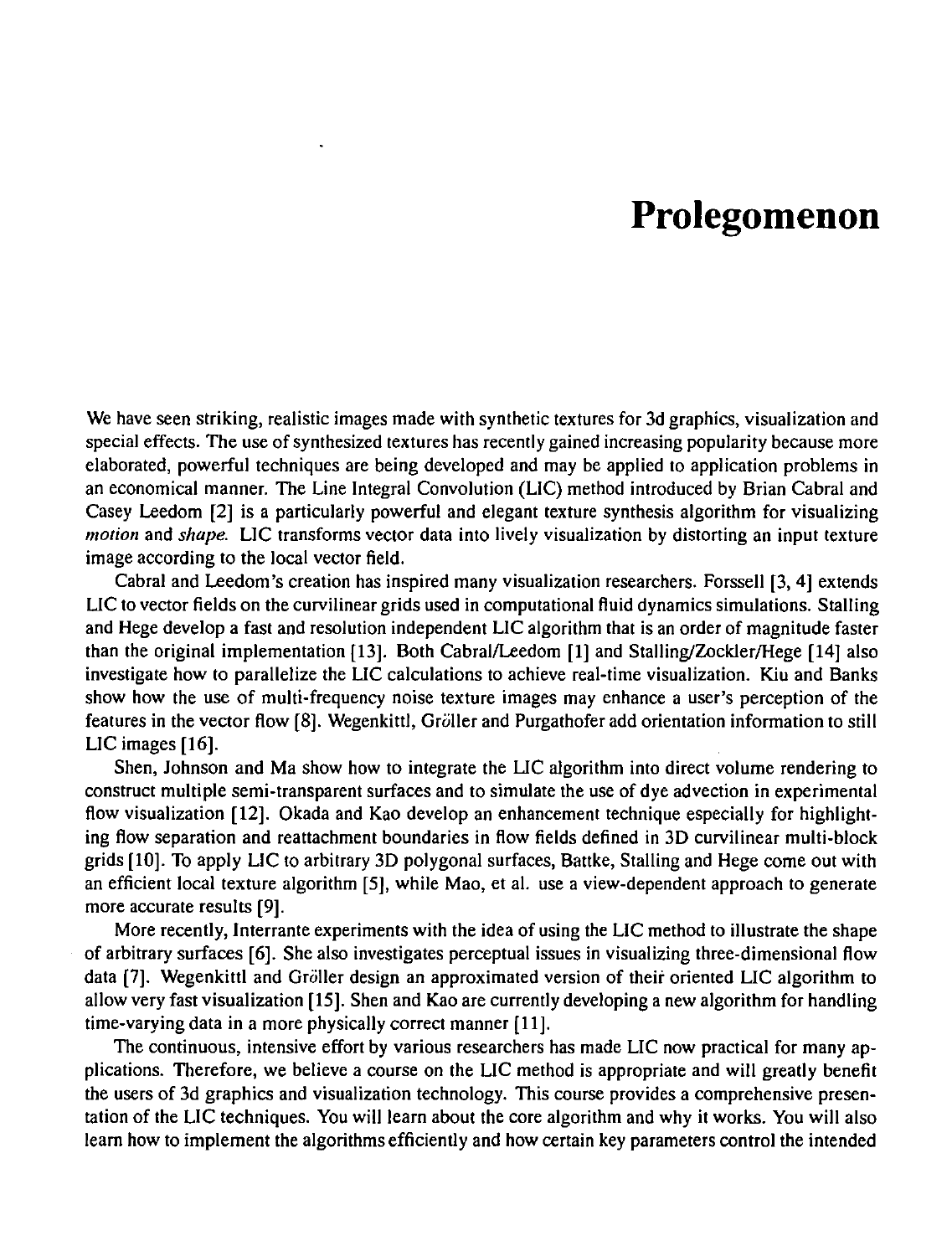# **Prolegomenon**

We have seen striking, realistic images made with synthetic textures for 3d graphics, visualization and special effects. The use of synthesized textures has recently gained increasing popularity because more elaborated, powerful techniques are being developed and may be applied to application problems in an economical manner. The Line Integral Convolution (LIC) method introduced by Brian Cabral and Casey Leedom [2] is a particularly powerful and elegant texture synthesis algorithm for visualizing *motion* and *shape.* LIC transforms vector data into lively visualization by distorting an input texture image according to the local vector field.

Cabral and Leedom's creation has inspired many visualization researchers. Forssell [3, 4] extends LIC to vector fields on the curvilinear grids used in computational Huid dynamics simulations. Stalling and Hege develop a fast and resolution independent LIC algorithm that is an order of magnitude faster than the original implementation [13]. Both Cabral/Leedom [1] and Stalling/Zockler/Hege [14] also investigate how to parallelize the LIC calculations to achieve real-time visualization. Kiu and Banks show how the use of multi-frequency noise texture images may enhance a user's perception of the features in the vector flow [8]. Wegenkittl, Gröller and Purgathofer add orientation information to still LIC images [16].

Shen, Johnson and Ma show how to integrate the LIC algorithm into direct volume rendering to construct multiple semi-transparent surfaces and to simulate the use of dye advection in experimental flow visualization [12]. Okada and Kao develop an enhancement technique especially for highlighting flow separation and reattachment boundaries in flow fields defined in 3D curvilinear multi-block grids [10]. To apply LIC to arbitrary 30 polygonal surfaces, Battke, Stalling and Hege come out with an efficient local texture algorithm [5], while Mao, et al. use a view-dependent approach to generate more accurate results [9].

More recently, Interrante experiments with the idea of using the LIC method to illustrate the shape of arbitrary surfaces [6]. She also investigates perceptual issues in visualizing three-dimensional How data [7]. Wegenkittl and Gröller design an approximated version of their oriented LIC algorithm to allow very fast visualization [15]. Shen and Kao are currently developing a new algorithm for handling time-varying data in a more physically correct manner [11].

The continuous, intensive effort by various researchers has made LIC now practical for many applications. Therefore, we believe a course on the LIC method is appropriate and will greatly benefit the users of 3d graphics and visualization technology. This course provides a comprehensive presentation of the LIC techniques. You will learn about the core algorithm and why it works. You will also learn how to implement the algorithms efficiently and how certain key parameters control the intended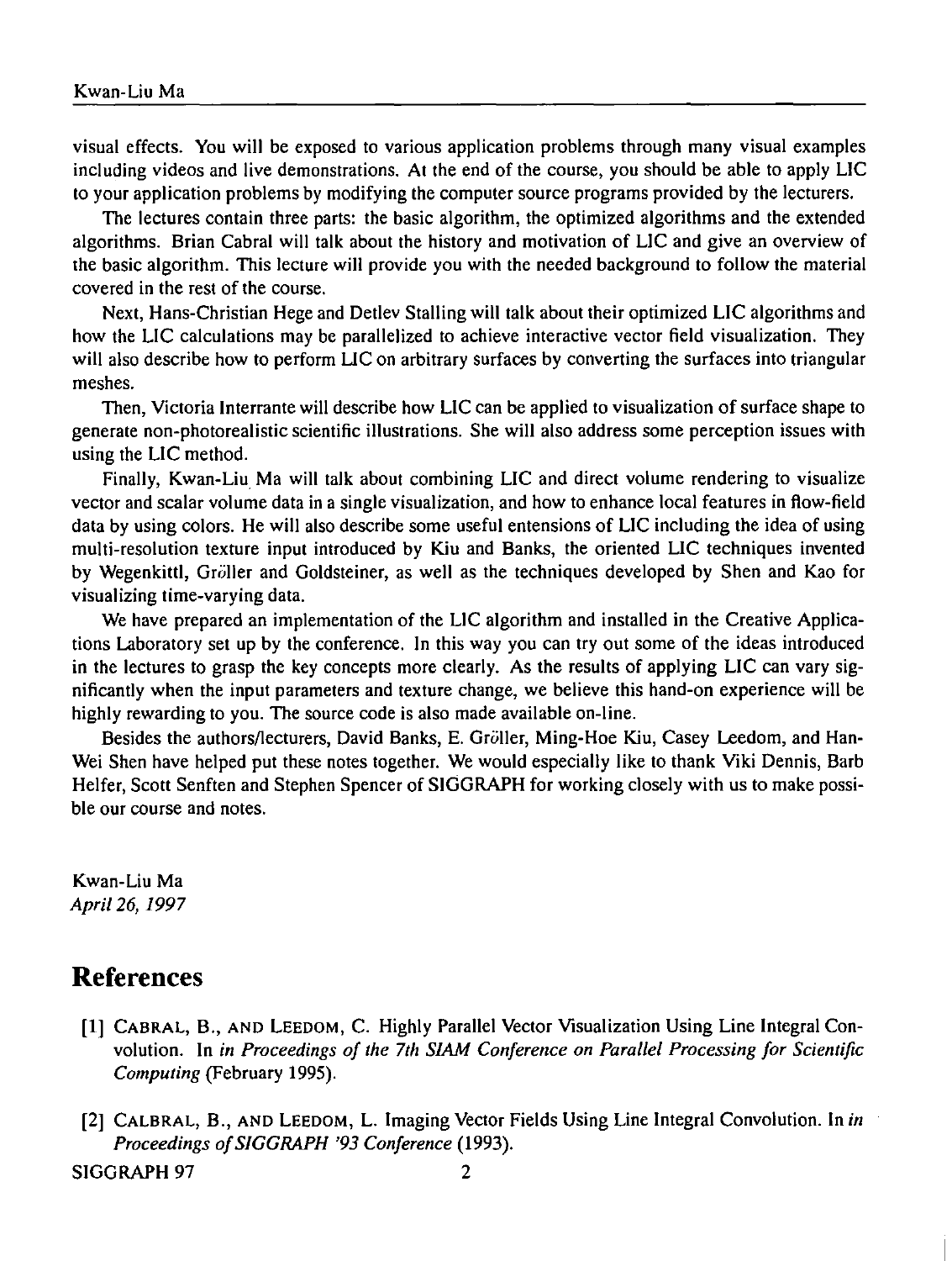visual effects. You will be exposed to various application problems through many visual examples including videos and live demonstrations. At the end of the course, you should be able to apply LIC to your application problems by modifying the computer source programs provided by the lecturers.

The lectures contain three parts: the basic algorithm, the optimized algorithms and the extended algorithms. Brian Cabral will talk about the history and motivation of LIC and give an overview of the basic algorithm. This lecture will provide you with the needed background to follow the material covered in the rest of the course.

Next, Hans-Christian Hege and Detlev Stalling will talk about their optimized LIC algorithms and how the LIC calculations may be parallelized to achieve interactive vector field visualization. They will also describe how to perform LIC on arbitrary surfaces by converting the surfaces into triangular meshes.

Then, Victoria Interrante will describe how LIC can be applied to visualization of surface shape to generate non-photorealistic scientific illustrations. She will also address some perception issues with using the LIC method.

Finally, Kwan-Liu Ma will talk about combining LIC and direct volume rendering to visualize vector and scalar volume data in a single visualization, and how to enhance local features in flow-field data by using colors. He will also describe some useful entensions of LIC including the idea of using multi-resolution texture input introduced by Kiu and Banks, the oriented LIC techniques invented by Wegenkittl, Gröller and Goldsteiner, as well as the techniques developed by Shen and Kao for visualizing time-varying data.

We have prepared an implementation of the LIC algorithm and installed in the Creative Applications Laboratory set up by the conference. In this way you can try out some of the ideas introduced in the lectures to grasp the key concepts more clearly. As the results of applying LIC can vary significantly when the input parameters and texture change, we believe this hand-on experience will be highly rewarding to you. The source code is also made available on-line.

Besides the authors/lecturers, David Banks, E. Gröller, Ming-Hoe Kiu, Casey Leedom, and Han-Wei Shen have helped put these notes together. We would especially like to thank Viki Dennis, Barb Helfer, Scott Senften and Stephen Spencer of SIGGRAPH for working closely with us to make possible our course and notes.

Kwan-Liu Ma *Apri/26, 1997* 

### **References**

- [1] CABRAL, B., AND LEEDOM, C. Highly Parallel Vector Visualization Using Line Integral Convolution. In *in Proceedings of the 7th SIAM Conference on Parallel Processing for Scientific Computing* (February 1995).
- [2] CALBRAL, B., AND LEEDOM, L. Imaging Vector Fields Using Line Integral Convolution. In *in Proceedings ofSIGGRAPH '93 Conference* (1993).

SIGGRAPH 97 2